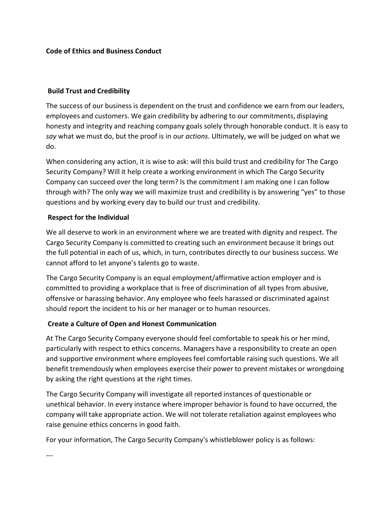**Code of Ethics and Business Conduct** 

#### **Build Trust and Credibility**

The success of our business is dependent on the trust and confidence we earn from our leaders, employees and customers. We gain credibility by adhering to our commitments, displaying honesty and integrity and reaching company goals solely through honorable conduct. It is easy to say what we must do, but the proof is in our *actions*. Ultimately, we will be judged on what we do. 

When considering any action, it is wise to ask: will this build trust and credibility for The Cargo Security Company? Will it help create a working environment in which The Cargo Security Company can succeed over the long term? Is the commitment I am making one I can follow through with? The only way we will maximize trust and credibility is by answering "yes" to those questions and by working every day to build our trust and credibility.

#### **Respect for the Individual**

We all deserve to work in an environment where we are treated with dignity and respect. The Cargo Security Company is committed to creating such an environment because it brings out the full potential in each of us, which, in turn, contributes directly to our business success. We cannot afford to let anyone's talents go to waste.

The Cargo Security Company is an equal employment/affirmative action employer and is committed to providing a workplace that is free of discrimination of all types from abusive, offensive or harassing behavior. Any employee who feels harassed or discriminated against should report the incident to his or her manager or to human resources.

# **Create a Culture of Open and Honest Communication**

At The Cargo Security Company everyone should feel comfortable to speak his or her mind, particularly with respect to ethics concerns. Managers have a responsibility to create an open and supportive environment where employees feel comfortable raising such questions. We all benefit tremendously when employees exercise their power to prevent mistakes or wrongdoing by asking the right questions at the right times.

The Cargo Security Company will investigate all reported instances of questionable or unethical behavior. In every instance where improper behavior is found to have occurred, the company will take appropriate action. We will not tolerate retaliation against employees who raise genuine ethics concerns in good faith.

For your information, The Cargo Security Company's whistleblower policy is as follows: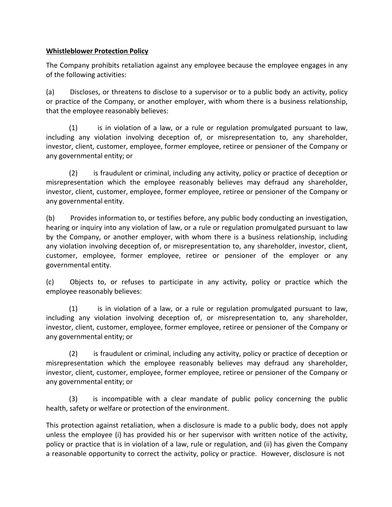#### **Whistleblower Protection Policy**

The Company prohibits retaliation against any employee because the employee engages in any of the following activities:

(a) Discloses, or threatens to disclose to a supervisor or to a public body an activity, policy or practice of the Company, or another employer, with whom there is a business relationship, that the employee reasonably believes:

 $(1)$  is in violation of a law, or a rule or regulation promulgated pursuant to law, including any violation involving deception of, or misrepresentation to, any shareholder, investor, client, customer, employee, former employee, retiree or pensioner of the Company or any governmental entity; or

(2) is fraudulent or criminal, including any activity, policy or practice of deception or misrepresentation which the employee reasonably believes may defraud any shareholder, investor, client, customer, employee, former employee, retiree or pensioner of the Company or any governmental entity.

(b) Provides information to, or testifies before, any public body conducting an investigation, hearing or inquiry into any violation of law, or a rule or regulation promulgated pursuant to law by the Company, or another employer, with whom there is a business relationship, including any violation involving deception of, or misrepresentation to, any shareholder, investor, client, customer, employee, former employee, retiree or pensioner of the employer or any governmental entity.

(c) Objects to, or refuses to participate in any activity, policy or practice which the employee reasonably believes:

 $(1)$  is in violation of a law, or a rule or regulation promulgated pursuant to law, including any violation involving deception of, or misrepresentation to, any shareholder, investor, client, customer, employee, former employee, retiree or pensioner of the Company or any governmental entity; or

(2) is fraudulent or criminal, including any activity, policy or practice of deception or misrepresentation which the employee reasonably believes may defraud any shareholder, investor, client, customer, employee, former employee, retiree or pensioner of the Company or any governmental entity; or

(3) is incompatible with a clear mandate of public policy concerning the public health, safety or welfare or protection of the environment.

This protection against retaliation, when a disclosure is made to a public body, does not apply unless the employee (i) has provided his or her supervisor with written notice of the activity, policy or practice that is in violation of a law, rule or regulation, and (ii) has given the Company a reasonable opportunity to correct the activity, policy or practice. However, disclosure is not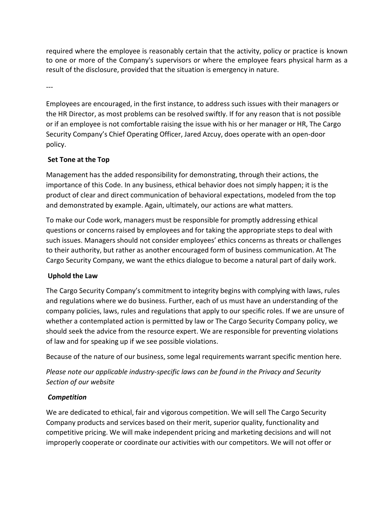required where the employee is reasonably certain that the activity, policy or practice is known to one or more of the Company's supervisors or where the employee fears physical harm as a result of the disclosure, provided that the situation is emergency in nature.

---

Employees are encouraged, in the first instance, to address such issues with their managers or the HR Director, as most problems can be resolved swiftly. If for any reason that is not possible or if an employee is not comfortable raising the issue with his or her manager or HR, The Cargo Security Company's Chief Operating Officer, Jared Azcuy, does operate with an open-door policy.

# **Set Tone at the Top**

Management has the added responsibility for demonstrating, through their actions, the importance of this Code. In any business, ethical behavior does not simply happen; it is the product of clear and direct communication of behavioral expectations, modeled from the top and demonstrated by example. Again, ultimately, our actions are what matters.

To make our Code work, managers must be responsible for promptly addressing ethical questions or concerns raised by employees and for taking the appropriate steps to deal with such issues. Managers should not consider employees' ethics concerns as threats or challenges to their authority, but rather as another encouraged form of business communication. At The Cargo Security Company, we want the ethics dialogue to become a natural part of daily work.

# **Uphold the Law**

The Cargo Security Company's commitment to integrity begins with complying with laws, rules and regulations where we do business. Further, each of us must have an understanding of the company policies, laws, rules and regulations that apply to our specific roles. If we are unsure of whether a contemplated action is permitted by law or The Cargo Security Company policy, we should seek the advice from the resource expert. We are responsible for preventing violations of law and for speaking up if we see possible violations.

Because of the nature of our business, some legal requirements warrant specific mention here.

*Please note our applicable industry-specific laws can be found in the Privacy and Security Section of our website*

# *Competition*

We are dedicated to ethical, fair and vigorous competition. We will sell The Cargo Security Company products and services based on their merit, superior quality, functionality and competitive pricing. We will make independent pricing and marketing decisions and will not improperly cooperate or coordinate our activities with our competitors. We will not offer or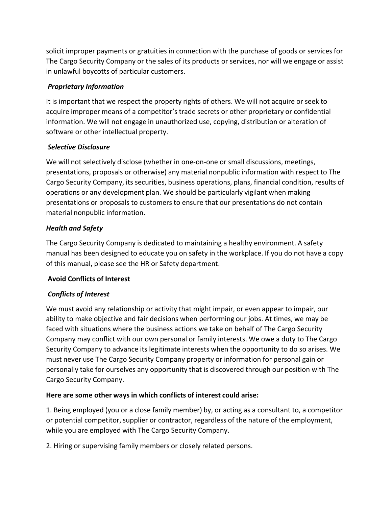solicit improper payments or gratuities in connection with the purchase of goods or services for The Cargo Security Company or the sales of its products or services, nor will we engage or assist in unlawful boycotts of particular customers.

## *Proprietary Information*

It is important that we respect the property rights of others. We will not acquire or seek to acquire improper means of a competitor's trade secrets or other proprietary or confidential information. We will not engage in unauthorized use, copying, distribution or alteration of software or other intellectual property.

## *Selective Disclosure*

We will not selectively disclose (whether in one-on-one or small discussions, meetings, presentations, proposals or otherwise) any material nonpublic information with respect to The Cargo Security Company, its securities, business operations, plans, financial condition, results of operations or any development plan. We should be particularly vigilant when making presentations or proposals to customers to ensure that our presentations do not contain material nonpublic information.

## *Health and Safety*

The Cargo Security Company is dedicated to maintaining a healthy environment. A safety manual has been designed to educate you on safety in the workplace. If you do not have a copy of this manual, please see the HR or Safety department.

#### **Avoid Conflicts of Interest**

# *Conflicts of Interest*

We must avoid any relationship or activity that might impair, or even appear to impair, our ability to make objective and fair decisions when performing our jobs. At times, we may be faced with situations where the business actions we take on behalf of The Cargo Security Company may conflict with our own personal or family interests. We owe a duty to The Cargo Security Company to advance its legitimate interests when the opportunity to do so arises. We must never use The Cargo Security Company property or information for personal gain or personally take for ourselves any opportunity that is discovered through our position with The Cargo Security Company.

#### **Here are some other ways in which conflicts of interest could arise:**

1. Being employed (you or a close family member) by, or acting as a consultant to, a competitor or potential competitor, supplier or contractor, regardless of the nature of the employment, while you are employed with The Cargo Security Company.

2. Hiring or supervising family members or closely related persons.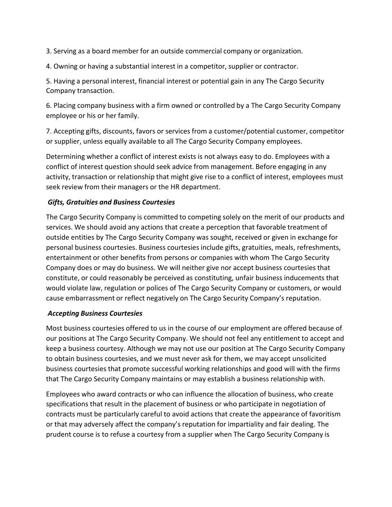3. Serving as a board member for an outside commercial company or organization.

4. Owning or having a substantial interest in a competitor, supplier or contractor.

5. Having a personal interest, financial interest or potential gain in any The Cargo Security Company transaction.

6. Placing company business with a firm owned or controlled by a The Cargo Security Company employee or his or her family.

7. Accepting gifts, discounts, favors or services from a customer/potential customer, competitor or supplier, unless equally available to all The Cargo Security Company employees.

Determining whether a conflict of interest exists is not always easy to do. Employees with a conflict of interest question should seek advice from management. Before engaging in any activity, transaction or relationship that might give rise to a conflict of interest, employees must seek review from their managers or the HR department.

#### *Gifts, Gratuities and Business Courtesies*

The Cargo Security Company is committed to competing solely on the merit of our products and services. We should avoid any actions that create a perception that favorable treatment of outside entities by The Cargo Security Company was sought, received or given in exchange for personal business courtesies. Business courtesies include gifts, gratuities, meals, refreshments, entertainment or other benefits from persons or companies with whom The Cargo Security Company does or may do business. We will neither give nor accept business courtesies that constitute, or could reasonably be perceived as constituting, unfair business inducements that would violate law, regulation or polices of The Cargo Security Company or customers, or would cause embarrassment or reflect negatively on The Cargo Security Company's reputation.

#### *Accepting Business Courtesies*

Most business courtesies offered to us in the course of our employment are offered because of our positions at The Cargo Security Company. We should not feel any entitlement to accept and keep a business courtesy. Although we may not use our position at The Cargo Security Company to obtain business courtesies, and we must never ask for them, we may accept unsolicited business courtesies that promote successful working relationships and good will with the firms that The Cargo Security Company maintains or may establish a business relationship with.

Employees who award contracts or who can influence the allocation of business, who create specifications that result in the placement of business or who participate in negotiation of contracts must be particularly careful to avoid actions that create the appearance of favoritism or that may adversely affect the company's reputation for impartiality and fair dealing. The prudent course is to refuse a courtesy from a supplier when The Cargo Security Company is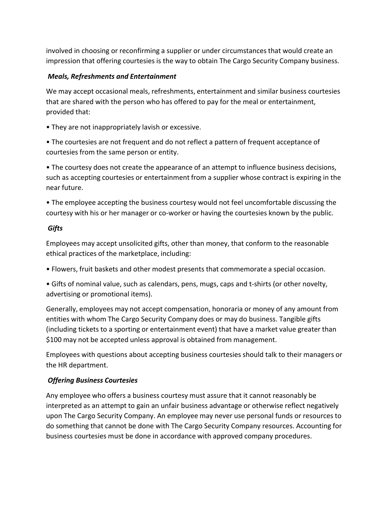involved in choosing or reconfirming a supplier or under circumstances that would create an impression that offering courtesies is the way to obtain The Cargo Security Company business.

## *Meals, Refreshments and Entertainment*

We may accept occasional meals, refreshments, entertainment and similar business courtesies that are shared with the person who has offered to pay for the meal or entertainment, provided that:

• They are not inappropriately lavish or excessive.

• The courtesies are not frequent and do not reflect a pattern of frequent acceptance of courtesies from the same person or entity.

• The courtesy does not create the appearance of an attempt to influence business decisions, such as accepting courtesies or entertainment from a supplier whose contract is expiring in the near future.

• The employee accepting the business courtesy would not feel uncomfortable discussing the courtesy with his or her manager or co-worker or having the courtesies known by the public.

## *Gifts*

Employees may accept unsolicited gifts, other than money, that conform to the reasonable ethical practices of the marketplace, including:

• Flowers, fruit baskets and other modest presents that commemorate a special occasion.

• Gifts of nominal value, such as calendars, pens, mugs, caps and t-shirts (or other novelty, advertising or promotional items).

Generally, employees may not accept compensation, honoraria or money of any amount from entities with whom The Cargo Security Company does or may do business. Tangible gifts (including tickets to a sporting or entertainment event) that have a market value greater than \$100 may not be accepted unless approval is obtained from management.

Employees with questions about accepting business courtesies should talk to their managers or the HR department.

# *Offering Business Courtesies*

Any employee who offers a business courtesy must assure that it cannot reasonably be interpreted as an attempt to gain an unfair business advantage or otherwise reflect negatively upon The Cargo Security Company. An employee may never use personal funds or resources to do something that cannot be done with The Cargo Security Company resources. Accounting for business courtesies must be done in accordance with approved company procedures.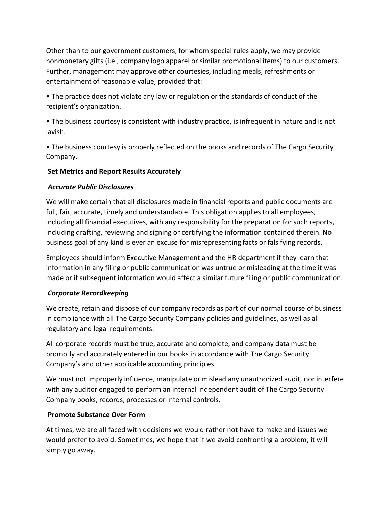Other than to our government customers, for whom special rules apply, we may provide nonmonetary gifts (i.e., company logo apparel or similar promotional items) to our customers. Further, management may approve other courtesies, including meals, refreshments or entertainment of reasonable value, provided that:

• The practice does not violate any law or regulation or the standards of conduct of the recipient's organization.

• The business courtesy is consistent with industry practice, is infrequent in nature and is not lavish.

• The business courtesy is properly reflected on the books and records of The Cargo Security Company.

## **Set Metrics and Report Results Accurately**

# *Accurate Public Disclosures*

We will make certain that all disclosures made in financial reports and public documents are full, fair, accurate, timely and understandable. This obligation applies to all employees, including all financial executives, with any responsibility for the preparation for such reports, including drafting, reviewing and signing or certifying the information contained therein. No business goal of any kind is ever an excuse for misrepresenting facts or falsifying records.

Employees should inform Executive Management and the HR department if they learn that information in any filing or public communication was untrue or misleading at the time it was made or if subsequent information would affect a similar future filing or public communication.

# *Corporate Recordkeeping*

We create, retain and dispose of our company records as part of our normal course of business in compliance with all The Cargo Security Company policies and guidelines, as well as all regulatory and legal requirements.

All corporate records must be true, accurate and complete, and company data must be promptly and accurately entered in our books in accordance with The Cargo Security Company's and other applicable accounting principles.

We must not improperly influence, manipulate or mislead any unauthorized audit, nor interfere with any auditor engaged to perform an internal independent audit of The Cargo Security Company books, records, processes or internal controls.

#### **Promote Substance Over Form**

At times, we are all faced with decisions we would rather not have to make and issues we would prefer to avoid. Sometimes, we hope that if we avoid confronting a problem, it will simply go away.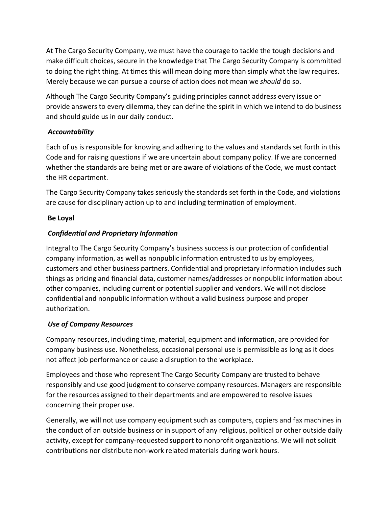At The Cargo Security Company, we must have the courage to tackle the tough decisions and make difficult choices, secure in the knowledge that The Cargo Security Company is committed to doing the right thing. At times this will mean doing more than simply what the law requires. Merely because we can pursue a course of action does not mean we *should* do so.

Although The Cargo Security Company's guiding principles cannot address every issue or provide answers to every dilemma, they can define the spirit in which we intend to do business and should guide us in our daily conduct.

## *Accountability*

Each of us is responsible for knowing and adhering to the values and standards set forth in this Code and for raising questions if we are uncertain about company policy. If we are concerned whether the standards are being met or are aware of violations of the Code, we must contact the HR department.

The Cargo Security Company takes seriously the standards set forth in the Code, and violations are cause for disciplinary action up to and including termination of employment.

## **Be Loyal**

# *Confidential and Proprietary Information*

Integral to The Cargo Security Company's business success is our protection of confidential company information, as well as nonpublic information entrusted to us by employees, customers and other business partners. Confidential and proprietary information includes such things as pricing and financial data, customer names/addresses or nonpublic information about other companies, including current or potential supplier and vendors. We will not disclose confidential and nonpublic information without a valid business purpose and proper authorization.

#### *Use of Company Resources*

Company resources, including time, material, equipment and information, are provided for company business use. Nonetheless, occasional personal use is permissible as long as it does not affect job performance or cause a disruption to the workplace.

Employees and those who represent The Cargo Security Company are trusted to behave responsibly and use good judgment to conserve company resources. Managers are responsible for the resources assigned to their departments and are empowered to resolve issues concerning their proper use.

Generally, we will not use company equipment such as computers, copiers and fax machines in the conduct of an outside business or in support of any religious, political or other outside daily activity, except for company-requested support to nonprofit organizations. We will not solicit contributions nor distribute non-work related materials during work hours.